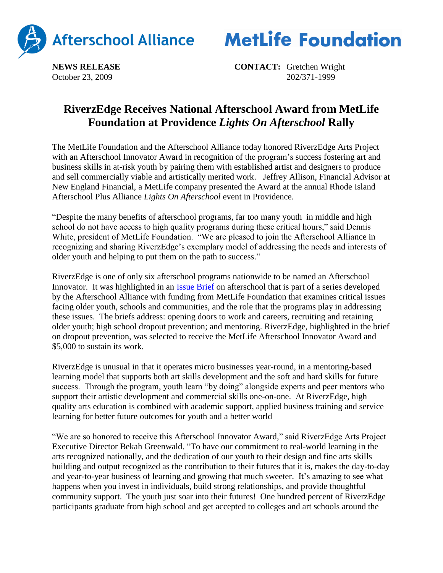



**NEWS RELEASE CONTACT:** Gretchen Wright October 23, 2009 202/371-1999

## **RiverzEdge Receives National Afterschool Award from MetLife Foundation at Providence** *Lights On Afterschool* **Rally**

The MetLife Foundation and the Afterschool Alliance today honored RiverzEdge Arts Project with an Afterschool Innovator Award in recognition of the program's success fostering art and business skills in at-risk youth by pairing them with established artist and designers to produce and sell commercially viable and artistically merited work. Jeffrey Allison, Financial Advisor at New England Financial, a MetLife company presented the Award at the annual Rhode Island Afterschool Plus Alliance *Lights On Afterschool* event in Providence.

"Despite the many benefits of afterschool programs, far too many youth in middle and high school do not have access to high quality programs during these critical hours," said Dennis White, president of MetLife Foundation. "We are pleased to join the Afterschool Alliance in recognizing and sharing RiverzEdge's exemplary model of addressing the needs and interests of older youth and helping to put them on the path to success."

RiverzEdge is one of only six afterschool programs nationwide to be named an Afterschool Innovator. It was highlighted in an [Issue Brief](http://www.afterschoolalliance.org/issue_briefs/dropout_prevention_brief_38_FINAL%5B1%5D.pdf) on afterschool that is part of a series developed by the Afterschool Alliance with funding from MetLife Foundation that examines critical issues facing older youth, schools and communities, and the role that the programs play in addressing these issues. The briefs address: opening doors to work and careers, recruiting and retaining older youth; high school dropout prevention; and mentoring. RiverzEdge, highlighted in the brief on dropout prevention, was selected to receive the MetLife Afterschool Innovator Award and \$5,000 to sustain its work.

RiverzEdge is unusual in that it operates micro businesses year-round, in a mentoring-based learning model that supports both art skills development and the soft and hard skills for future success. Through the program, youth learn "by doing" alongside experts and peer mentors who support their artistic development and commercial skills one-on-one. At RiverzEdge, high quality arts education is combined with academic support, applied business training and service learning for better future outcomes for youth and a better world

"We are so honored to receive this Afterschool Innovator Award," said RiverzEdge Arts Project Executive Director Bekah Greenwald. "To have our commitment to real-world learning in the arts recognized nationally, and the dedication of our youth to their design and fine arts skills building and output recognized as the contribution to their futures that it is, makes the day-to-day and year-to-year business of learning and growing that much sweeter. It's amazing to see what happens when you invest in individuals, build strong relationships, and provide thoughtful community support. The youth just soar into their futures! One hundred percent of RiverzEdge participants graduate from high school and get accepted to colleges and art schools around the